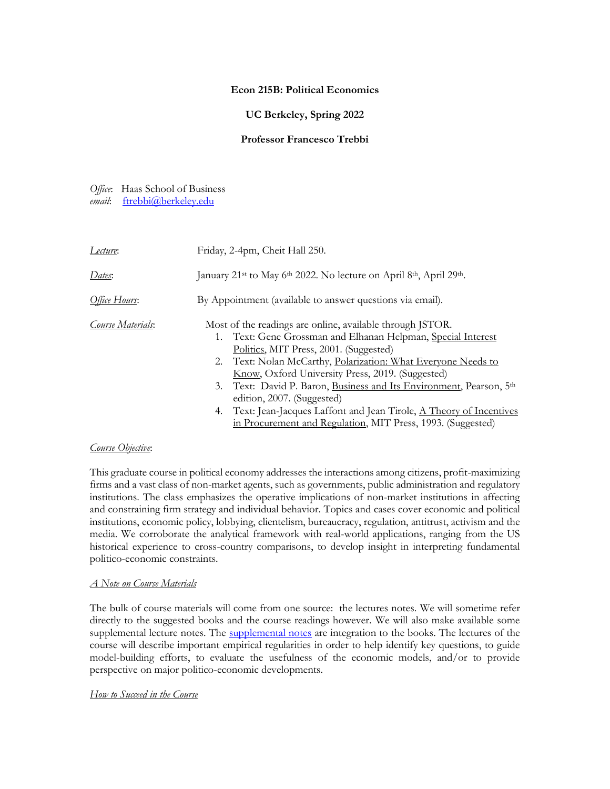# **Econ 215B: Political Economics**

# **UC Berkeley, Spring 2022**

# **Professor Francesco Trebbi**

*Office*: Haas School of Business *email*: [ftrebbi@berkeley.edu](mailto:ftrebbi@berkeley.edu)

| Lecture:          | Friday, 2-4pm, Cheit Hall 250.                                                                                                                                                                                                                                                                                                                                                                                                                                                                                                        |
|-------------------|---------------------------------------------------------------------------------------------------------------------------------------------------------------------------------------------------------------------------------------------------------------------------------------------------------------------------------------------------------------------------------------------------------------------------------------------------------------------------------------------------------------------------------------|
| Dates:            | January 21 <sup>st</sup> to May 6 <sup>th</sup> 2022. No lecture on April 8 <sup>th</sup> , April 29 <sup>th</sup> .                                                                                                                                                                                                                                                                                                                                                                                                                  |
| Office Hours:     | By Appointment (available to answer questions via email).                                                                                                                                                                                                                                                                                                                                                                                                                                                                             |
| Course Materials: | Most of the readings are online, available through JSTOR.<br>1. Text: Gene Grossman and Elhanan Helpman, Special Interest<br>Politics, MIT Press, 2001. (Suggested)<br>2. Text: Nolan McCarthy, Polarization: What Everyone Needs to<br>Know, Oxford University Press, 2019. (Suggested)<br>3. Text: David P. Baron, Business and Its Environment, Pearson, 5th<br>edition, 2007. (Suggested)<br>4. Text: Jean-Jacques Laffont and Jean Tirole, A Theory of Incentives<br>in Procurement and Regulation, MIT Press, 1993. (Suggested) |

# *Course Objective*:

This graduate course in political economy addresses the interactions among citizens, profit-maximizing firms and a vast class of non-market agents, such as governments, public administration and regulatory institutions. The class emphasizes the operative implications of non-market institutions in affecting and constraining firm strategy and individual behavior. Topics and cases cover economic and political institutions, economic policy, lobbying, clientelism, bureaucracy, regulation, antitrust, activism and the media. We corroborate the analytical framework with real-world applications, ranging from the US historical experience to cross-country comparisons, to develop insight in interpreting fundamental politico-economic constraints.

# *A Note on Course Materials*

The bulk of course materials will come from one source: the lectures notes. We will sometime refer directly to the suggested books and the course readings however. We will also make available some supplemental lecture notes. The [supplemental notes](https://ftrebbi.com/teaching/) are integration to the books. The lectures of the course will describe important empirical regularities in order to help identify key questions, to guide model-building efforts, to evaluate the usefulness of the economic models, and/or to provide perspective on major politico-economic developments.

# *How to Succeed in the Course*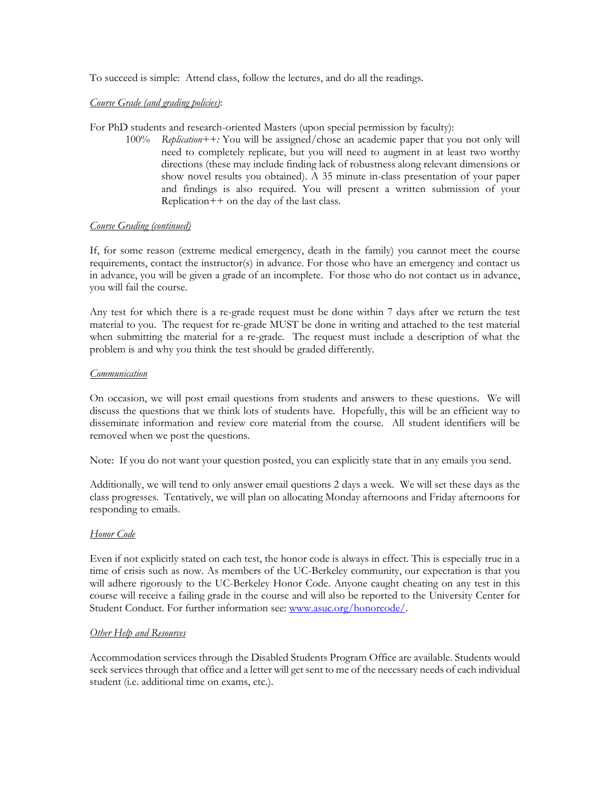To succeed is simple: Attend class, follow the lectures, and do all the readings.

# *Course Grade (and grading policies)*:

For PhD students and research-oriented Masters (upon special permission by faculty):

100% *Replication++:* You will be assigned/chose an academic paper that you not only will need to completely replicate, but you will need to augment in at least two worthy directions (these may include finding lack of robustness along relevant dimensions or show novel results you obtained). A 35 minute in-class presentation of your paper and findings is also required. You will present a written submission of your Replication++ on the day of the last class.

# *Course Grading (continued)*

If, for some reason (extreme medical emergency, death in the family) you cannot meet the course requirements, contact the instructor(s) in advance. For those who have an emergency and contact us in advance, you will be given a grade of an incomplete. For those who do not contact us in advance, you will fail the course.

Any test for which there is a re-grade request must be done within 7 days after we return the test material to you. The request for re-grade MUST be done in writing and attached to the test material when submitting the material for a re-grade. The request must include a description of what the problem is and why you think the test should be graded differently.

# *Communication*

On occasion, we will post email questions from students and answers to these questions. We will discuss the questions that we think lots of students have. Hopefully, this will be an efficient way to disseminate information and review core material from the course. All student identifiers will be removed when we post the questions.

Note: If you do not want your question posted, you can explicitly state that in any emails you send.

Additionally, we will tend to only answer email questions 2 days a week. We will set these days as the class progresses. Tentatively, we will plan on allocating Monday afternoons and Friday afternoons for responding to emails.

# *Honor Code*

Even if not explicitly stated on each test, the honor code is always in effect. This is especially true in a time of crisis such as now. As members of the UC-Berkeley community, our expectation is that you will adhere rigorously to the UC-Berkeley Honor Code. Anyone caught cheating on any test in this course will receive a failing grade in the course and will also be reported to the University Center for Student Conduct. For further information see: [www.asuc.org/honorcode/.](http://www.asuc.org/honorcode/)

# *Other Help and Resources*

Accommodation services through the Disabled Students Program Office are available. Students would seek services through that office and a letter will get sent to me of the necessary needs of each individual student (i.e. additional time on exams, etc.).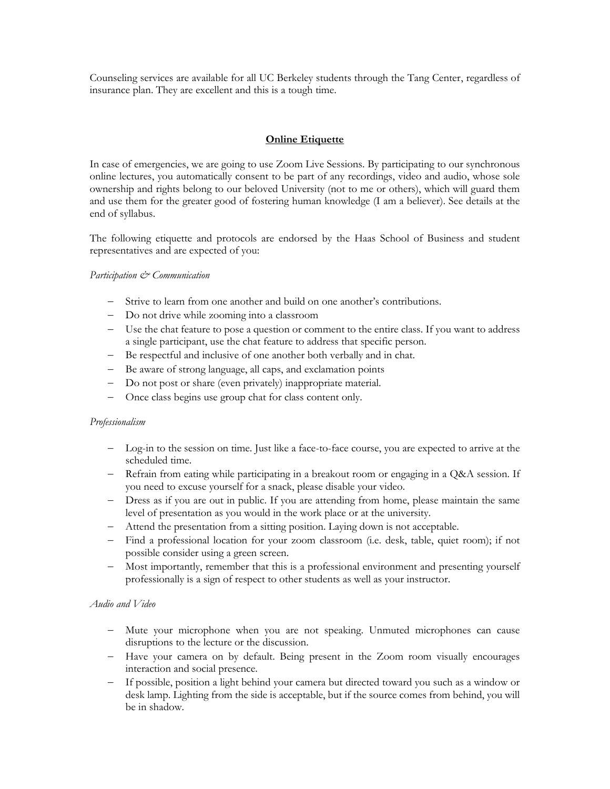Counseling services are available for all UC Berkeley students through the Tang Center, regardless of insurance plan. They are excellent and this is a tough time.

# **Online Etiquette**

In case of emergencies, we are going to use Zoom Live Sessions. By participating to our synchronous online lectures, you automatically consent to be part of any recordings, video and audio, whose sole ownership and rights belong to our beloved University (not to me or others), which will guard them and use them for the greater good of fostering human knowledge (I am a believer). See details at the end of syllabus.

The following etiquette and protocols are endorsed by the Haas School of Business and student representatives and are expected of you:

# *Participation & Communication*

- Strive to learn from one another and build on one another's contributions.
- Do not drive while zooming into a classroom
- Use the chat feature to pose a question or comment to the entire class. If you want to address a single participant, use the chat feature to address that specific person.
- Be respectful and inclusive of one another both verbally and in chat.
- Be aware of strong language, all caps, and exclamation points
- Do not post or share (even privately) inappropriate material.
- Once class begins use group chat for class content only.

# *Professionalism*

- Log-in to the session on time. Just like a face-to-face course, you are expected to arrive at the scheduled time.
- Refrain from eating while participating in a breakout room or engaging in a Q&A session. If you need to excuse yourself for a snack, please disable your video.
- Dress as if you are out in public. If you are attending from home, please maintain the same level of presentation as you would in the work place or at the university.
- Attend the presentation from a sitting position. Laying down is not acceptable.
- Find a professional location for your zoom classroom (i.e. desk, table, quiet room); if not possible consider using a green screen.
- Most importantly, remember that this is a professional environment and presenting yourself professionally is a sign of respect to other students as well as your instructor.

# *Audio and Video*

- Mute your microphone when you are not speaking. Unmuted microphones can cause disruptions to the lecture or the discussion.
- Have your camera on by default. Being present in the Zoom room visually encourages interaction and social presence.
- If possible, position a light behind your camera but directed toward you such as a window or desk lamp. Lighting from the side is acceptable, but if the source comes from behind, you will be in shadow.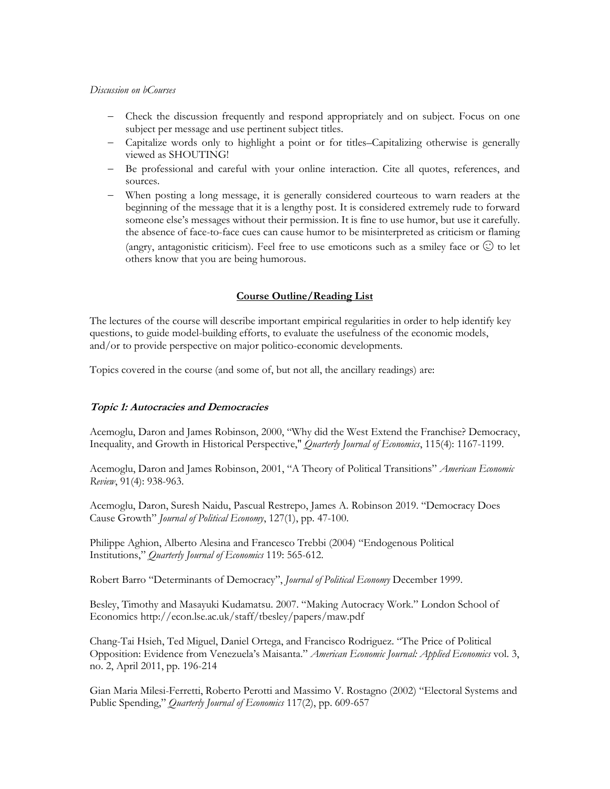### *Discussion on bCourses*

- Check the discussion frequently and respond appropriately and on subject. Focus on one subject per message and use pertinent subject titles.
- Capitalize words only to highlight a point or for titles–Capitalizing otherwise is generally viewed as SHOUTING!
- Be professional and careful with your online interaction. Cite all quotes, references, and sources.
- When posting a long message, it is generally considered courteous to warn readers at the beginning of the message that it is a lengthy post. It is considered extremely rude to forward someone else's messages without their permission. It is fine to use humor, but use it carefully. the absence of face-to-face cues can cause humor to be misinterpreted as criticism or flaming (angry, antagonistic criticism). Feel free to use emoticons such as a smiley face or  $\odot$  to let others know that you are being humorous.

# **Course Outline/Reading List**

The lectures of the course will describe important empirical regularities in order to help identify key questions, to guide model-building efforts, to evaluate the usefulness of the economic models, and/or to provide perspective on major politico-economic developments.

Topics covered in the course (and some of, but not all, the ancillary readings) are:

# **Topic 1: Autocracies and Democracies**

Acemoglu, Daron and James Robinson, 2000, "Why did the West Extend the Franchise? Democracy, Inequality, and Growth in Historical Perspective," *Quarterly Journal of Economics*, 115(4): 1167-1199.

Acemoglu, Daron and James Robinson, 2001, "A Theory of Political Transitions" *American Economic Review*, 91(4): 938-963.

Acemoglu, Daron, Suresh Naidu, Pascual Restrepo, James A. Robinson 2019. "Democracy Does Cause Growth" *Journal of Political Economy*, 127(1), pp. 47-100.

Philippe Aghion, Alberto Alesina and Francesco Trebbi (2004) "Endogenous Political Institutions," *Quarterly Journal of Economics* 119: 565-612.

Robert Barro "Determinants of Democracy", *Journal of Political Economy* December 1999.

Besley, Timothy and Masayuki Kudamatsu. 2007. "Making Autocracy Work." London School of Economics http://econ.lse.ac.uk/staff/tbesley/papers/maw.pdf

Chang-Tai Hsieh, Ted Miguel, Daniel Ortega, and Francisco Rodriguez. "The Price of Political Opposition: Evidence from Venezuela's Maisanta." *American Economic Journal: Applied Economics* vol. 3, no. 2, April 2011, pp. 196-214

Gian Maria Milesi-Ferretti, Roberto Perotti and Massimo V. Rostagno (2002) "Electoral Systems and Public Spending," *Quarterly Journal of Economics* 117(2), pp. 609-657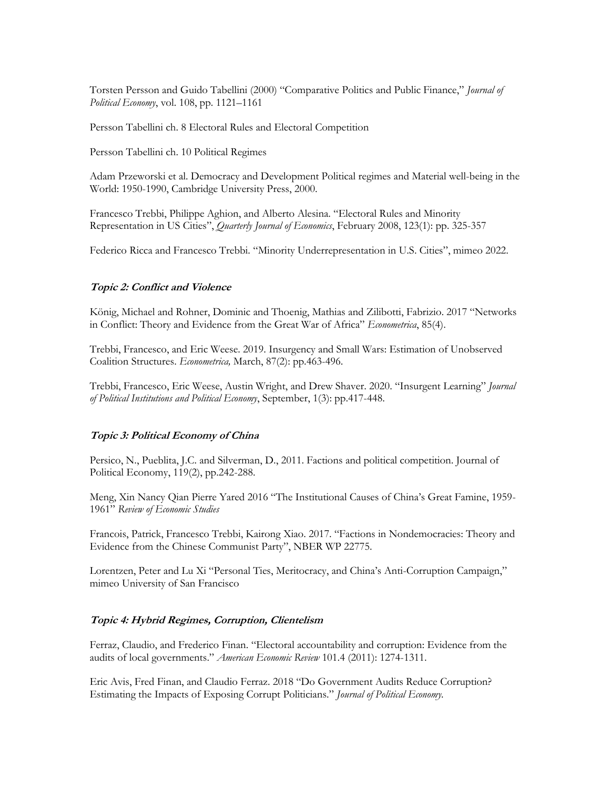Torsten Persson and Guido Tabellini (2000) "Comparative Politics and Public Finance," *Journal of Political Economy*, vol. 108, pp. 1121–1161

Persson Tabellini ch. 8 Electoral Rules and Electoral Competition

Persson Tabellini ch. 10 Political Regimes

Adam Przeworski et al. Democracy and Development Political regimes and Material well-being in the World: 1950-1990, Cambridge University Press, 2000.

Francesco Trebbi, Philippe Aghion, and Alberto Alesina. "Electoral Rules and Minority Representation in US Cities", *Quarterly Journal of Economics*, February 2008, 123(1): pp. 325-357

Federico Ricca and Francesco Trebbi. "Minority Underrepresentation in U.S. Cities", mimeo 2022.

#### **Topic 2: Conflict and Violence**

König, Michael and Rohner, Dominic and Thoenig, Mathias and Zilibotti, Fabrizio. 2017 "Networks in Conflict: Theory and Evidence from the Great War of Africa" *Econometrica*, 85(4).

Trebbi, Francesco, and Eric Weese. 2019. Insurgency and Small Wars: Estimation of Unobserved Coalition Structures. *Econometrica,* March, 87(2): pp.463-496.

Trebbi, Francesco, Eric Weese, Austin Wright, and Drew Shaver. 2020. "Insurgent Learning" *Journal of Political Institutions and Political Economy*, September, 1(3): pp.417-448.

#### **Topic 3: Political Economy of China**

Persico, N., Pueblita, J.C. and Silverman, D., 2011. Factions and political competition. Journal of Political Economy, 119(2), pp.242-288.

Meng, Xin Nancy Qian Pierre Yared 2016 "The Institutional Causes of China's Great Famine, 1959- 1961" *Review of Economic Studies*

Francois, Patrick, Francesco Trebbi, Kairong Xiao. 2017. "Factions in Nondemocracies: Theory and Evidence from the Chinese Communist Party", NBER WP 22775.

Lorentzen, Peter and Lu Xi "Personal Ties, Meritocracy, and China's Anti-Corruption Campaign," mimeo University of San Francisco

# **Topic 4: Hybrid Regimes, Corruption, Clientelism**

Ferraz, Claudio, and Frederico Finan. "Electoral accountability and corruption: Evidence from the audits of local governments." *American Economic Review* 101.4 (2011): 1274-1311.

Eric Avis, Fred Finan, and Claudio Ferraz. 2018 "Do Government Audits Reduce Corruption? Estimating the Impacts of Exposing Corrupt Politicians." *Journal of Political Economy.*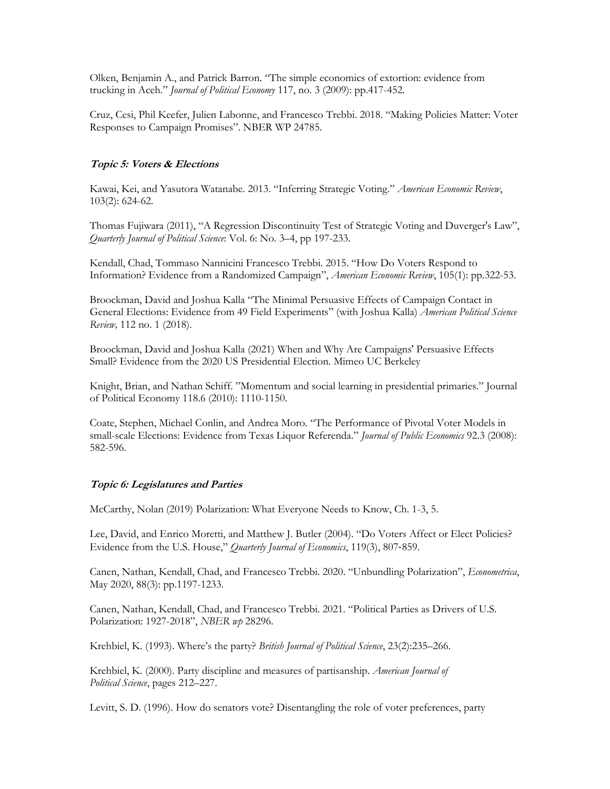Olken, Benjamin A., and Patrick Barron. "The simple economics of extortion: evidence from trucking in Aceh." *Journal of Political Economy* 117, no. 3 (2009): pp.417-452.

Cruz, Cesi, Phil Keefer, Julien Labonne, and Francesco Trebbi. 2018. "Making Policies Matter: Voter Responses to Campaign Promises". NBER WP 24785.

# **Topic 5: Voters & Elections**

Kawai, Kei, and Yasutora Watanabe. 2013. "Inferring Strategic Voting." *American Economic Review*, 103(2): 624-62.

Thomas Fujiwara (2011), "A Regression Discontinuity Test of Strategic Voting and Duverger's Law", *Quarterly Journal of Political Science*: Vol. 6: No. 3–4, pp 197-233.

Kendall, Chad, Tommaso Nannicini Francesco Trebbi. 2015. "How Do Voters Respond to Information? Evidence from a Randomized Campaign", *American Economic Review*, 105(1): pp.322-53.

Broockman, David and Joshua Kalla "The Minimal Persuasive Effects of Campaign Contact in General Elections: Evidence from 49 Field Experiments" (with Joshua Kalla) *American Political Science Review,* 112 no. 1 (2018).

Broockman, David and Joshua Kalla (2021) When and Why Are Campaigns' Persuasive Effects Small? Evidence from the 2020 US Presidential Election. Mimeo UC Berkeley

Knight, Brian, and Nathan Schiff. "Momentum and social learning in presidential primaries." Journal of Political Economy 118.6 (2010): 1110-1150.

Coate, Stephen, Michael Conlin, and Andrea Moro. "The Performance of Pivotal Voter Models in small-scale Elections: Evidence from Texas Liquor Referenda." *Journal of Public Economics* 92.3 (2008): 582-596.

# **Topic 6: Legislatures and Parties**

McCarthy, Nolan (2019) Polarization: What Everyone Needs to Know, Ch. 1-3, 5.

Lee, David, and Enrico Moretti, and Matthew J. Butler (2004). "Do Voters Affect or Elect Policies? Evidence from the U.S. House," *Quarterly Journal of Economics*, 119(3), 807‐859.

Canen, Nathan, Kendall, Chad, and Francesco Trebbi. 2020. "Unbundling Polarization", *Econometrica*, May 2020, 88(3): pp.1197-1233.

Canen, Nathan, Kendall, Chad, and Francesco Trebbi. 2021. "Political Parties as Drivers of U.S. Polarization: 1927-2018", *NBER wp* 28296.

Krehbiel, K. (1993). Where's the party? *British Journal of Political Science*, 23(2):235–266.

Krehbiel, K. (2000). Party discipline and measures of partisanship. *American Journal of Political Science*, pages 212–227.

Levitt, S. D. (1996). How do senators vote? Disentangling the role of voter preferences, party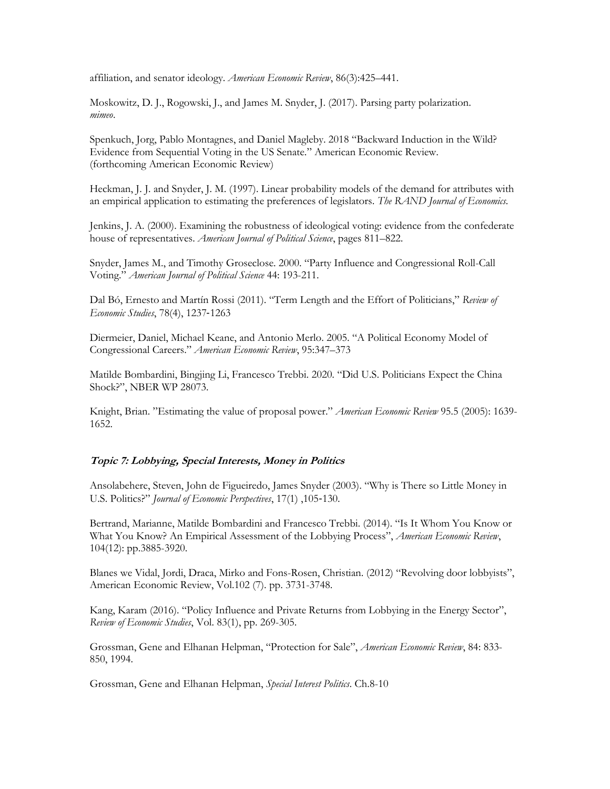affiliation, and senator ideology. *American Economic Review*, 86(3):425–441.

Moskowitz, D. J., Rogowski, J., and James M. Snyder, J. (2017). Parsing party polarization. *mimeo*.

Spenkuch, Jorg, Pablo Montagnes, and Daniel Magleby. 2018 "Backward Induction in the Wild? Evidence from Sequential Voting in the US Senate." American Economic Review. (forthcoming American Economic Review)

Heckman, J. J. and Snyder, J. M. (1997). Linear probability models of the demand for attributes with an empirical application to estimating the preferences of legislators. *The RAND Journal of Economics.*

Jenkins, J. A. (2000). Examining the robustness of ideological voting: evidence from the confederate house of representatives. *American Journal of Political Science*, pages 811–822.

Snyder, James M., and Timothy Groseclose. 2000. "Party Influence and Congressional Roll-Call Voting." *American Journal of Political Science* 44: 193-211.

Dal Bó, Ernesto and Martín Rossi (2011). "Term Length and the Effort of Politicians," *Review of Economic Studies*, 78(4), 1237‐1263

Diermeier, Daniel, Michael Keane, and Antonio Merlo. 2005. "A Political Economy Model of Congressional Careers." *American Economic Review*, 95:347–373

Matilde Bombardini, Bingjing Li, Francesco Trebbi. 2020. "Did U.S. Politicians Expect the China Shock?", NBER WP 28073.

Knight, Brian. "Estimating the value of proposal power." *American Economic Review* 95.5 (2005): 1639- 1652.

# **Topic 7: Lobbying, Special Interests, Money in Politics**

Ansolabehere, Steven, John de Figueiredo, James Snyder (2003). "Why is There so Little Money in U.S. Politics?" *Journal of Economic Perspectives*, 17(1) ,105‐130.

Bertrand, Marianne, Matilde Bombardini and Francesco Trebbi. (2014). "Is It Whom You Know or What You Know? An Empirical Assessment of the Lobbying Process", *American Economic Review*, 104(12): pp.3885-3920.

Blanes we Vidal, Jordi, Draca, Mirko and Fons-Rosen, Christian. (2012) "Revolving door lobbyists", American Economic Review, Vol.102 (7). pp. 3731-3748.

Kang, Karam (2016). "Policy Influence and Private Returns from Lobbying in the Energy Sector", *Review of Economic Studies*, Vol. 83(1), pp. 269-305.

Grossman, Gene and Elhanan Helpman, "Protection for Sale", *American Economic Review*, 84: 833- 850, 1994.

Grossman, Gene and Elhanan Helpman, *Special Interest Politics*. Ch.8-10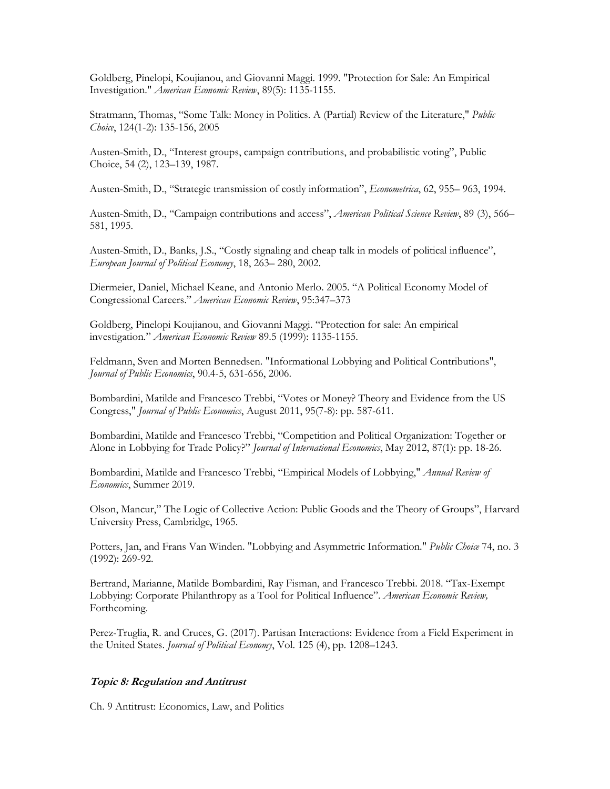Goldberg, Pinelopi, Koujianou, and Giovanni Maggi. 1999. "Protection for Sale: An Empirical Investigation." *American Economic Review*, 89(5): 1135-1155.

Stratmann, Thomas, "Some Talk: Money in Politics. A (Partial) Review of the Literature," *Public Choice*, 124(1-2): 135-156, 2005

Austen-Smith, D., "Interest groups, campaign contributions, and probabilistic voting", Public Choice, 54 (2), 123–139, 1987.

Austen-Smith, D., "Strategic transmission of costly information", *Econometrica*, 62, 955– 963, 1994.

Austen-Smith, D., "Campaign contributions and access", *American Political Science Review*, 89 (3), 566– 581, 1995.

Austen-Smith, D., Banks, J.S., "Costly signaling and cheap talk in models of political influence", *European Journal of Political Economy*, 18, 263– 280, 2002.

Diermeier, Daniel, Michael Keane, and Antonio Merlo. 2005. "A Political Economy Model of Congressional Careers." *American Economic Review*, 95:347–373

Goldberg, Pinelopi Koujianou, and Giovanni Maggi. "Protection for sale: An empirical investigation." *American Economic Review* 89.5 (1999): 1135-1155.

Feldmann, Sven and Morten Bennedsen. "Informational Lobbying and Political Contributions", *Journal of Public Economics*, 90.4-5, 631-656, 2006.

Bombardini, Matilde and Francesco Trebbi, "Votes or Money? Theory and Evidence from the US Congress," *Journal of Public Economics*, August 2011, 95(7-8): pp. 587-611.

Bombardini, Matilde and Francesco Trebbi, "Competition and Political Organization: Together or Alone in Lobbying for Trade Policy?" *Journal of International Economics*, May 2012, 87(1): pp. 18-26.

Bombardini, Matilde and Francesco Trebbi, "Empirical Models of Lobbying," *Annual Review of Economics*, Summer 2019.

Olson, Mancur," The Logic of Collective Action: Public Goods and the Theory of Groups", Harvard University Press, Cambridge, 1965.

Potters, Jan, and Frans Van Winden. "Lobbying and Asymmetric Information." *Public Choice* 74, no. 3 (1992): 269-92.

Bertrand, Marianne, Matilde Bombardini, Ray Fisman, and Francesco Trebbi. 2018. "Tax-Exempt Lobbying: Corporate Philanthropy as a Tool for Political Influence". *American Economic Review,*  Forthcoming.

Perez-Truglia, R. and Cruces, G. (2017). Partisan Interactions: Evidence from a Field Experiment in the United States. *Journal of Political Economy*, Vol. 125 (4), pp. 1208–1243.

#### **Topic 8: Regulation and Antitrust**

Ch. 9 Antitrust: Economics, Law, and Politics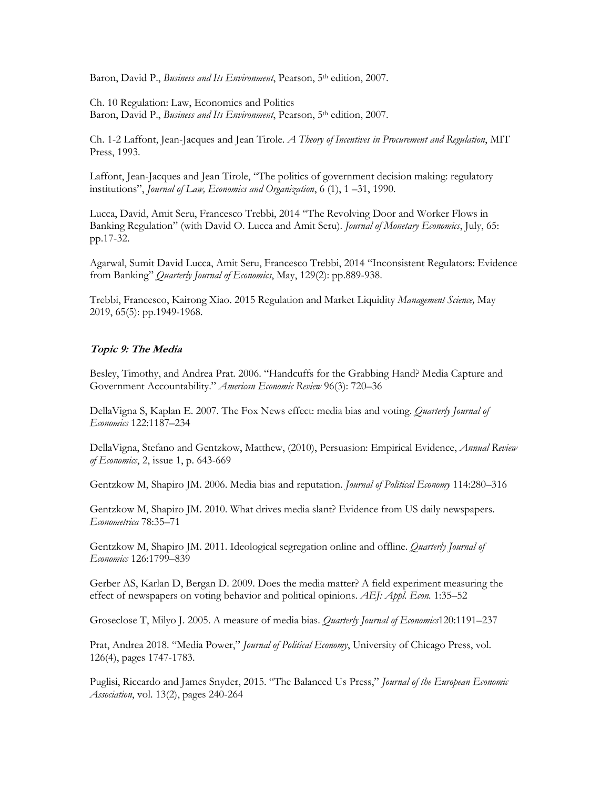Baron, David P., *Business and Its Environment*, Pearson, 5th edition, 2007.

Ch. 10 Regulation: Law, Economics and Politics Baron, David P., *Business and Its Environment*, Pearson, 5th edition, 2007.

Ch. 1-2 Laffont, Jean-Jacques and Jean Tirole. *A Theory of Incentives in Procurement and Regulation*, MIT Press, 1993.

Laffont, Jean-Jacques and Jean Tirole, "The politics of government decision making: regulatory institutions", *Journal of Law, Economics and Organization*, 6 (1), 1 –31, 1990.

Lucca, David, Amit Seru, Francesco Trebbi, 2014 "The Revolving Door and Worker Flows in Banking Regulation" (with David O. Lucca and Amit Seru). *Journal of Monetary Economics*, July, 65: pp.17-32.

Agarwal, Sumit David Lucca, Amit Seru, Francesco Trebbi, 2014 "Inconsistent Regulators: Evidence from Banking" *Quarterly Journal of Economics*, May, 129(2): pp.889-938.

Trebbi, Francesco, Kairong Xiao. 2015 Regulation and Market Liquidity *Management Science,* May 2019, 65(5): pp.1949-1968.

# **Topic 9: The Media**

Besley, Timothy, and Andrea Prat. 2006. "Handcuffs for the Grabbing Hand? Media Capture and Government Accountability." *American Economic Review* 96(3): 720–36

DellaVigna S, Kaplan E. 2007. The Fox News effect: media bias and voting. *Quarterly Journal of Economics* 122:1187–234

DellaVigna, Stefano and Gentzkow, Matthew, (2010), Persuasion: Empirical Evidence, *Annual Review of Economics*, 2, issue 1, p. 643-669

Gentzkow M, Shapiro JM. 2006. Media bias and reputation. *Journal of Political Economy* 114:280–316

Gentzkow M, Shapiro JM. 2010. What drives media slant? Evidence from US daily newspapers. *Econometrica* 78:35–71

Gentzkow M, Shapiro JM. 2011. Ideological segregation online and offline. *Quarterly Journal of Economics* 126:1799–839

Gerber AS, Karlan D, Bergan D. 2009. Does the media matter? A field experiment measuring the effect of newspapers on voting behavior and political opinions. *AEJ: Appl. Econ.* 1:35–52

Groseclose T, Milyo J. 2005. A measure of media bias. *Quarterly Journal of Economics*120:1191–237

Prat, Andrea 2018. "Media Power," *Journal of Political Economy*, University of Chicago Press, vol. 126(4), pages 1747-1783.

Puglisi, Riccardo and James Snyder, 2015. "The Balanced Us Press," *Journal of the European Economic Association*, vol. 13(2), pages 240-264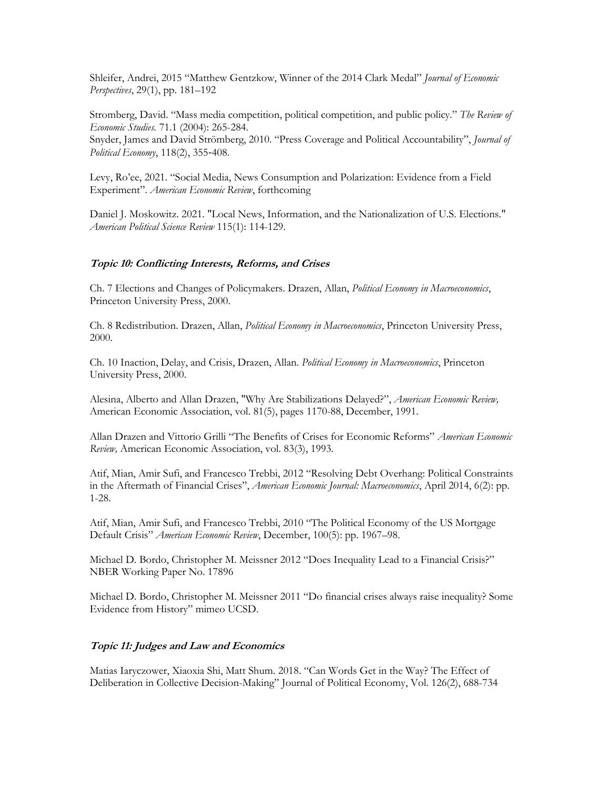Shleifer, Andrei, 2015 "Matthew Gentzkow, Winner of the 2014 Clark Medal" *Journal of Economic Perspectives*, 29(1), pp. 181–192

Stromberg, David. "Mass media competition, political competition, and public policy." *The Review of Economic Studies.* 71.1 (2004): 265-284. Snyder, James and David Strömberg, 2010. "Press Coverage and Political Accountability", *Journal of Political Economy*, 118(2), 355‐408.

Levy, Ro'ee, 2021. "Social Media, News Consumption and Polarization: Evidence from a Field Experiment". *American Economic Review*, forthcoming

Daniel J. Moskowitz. 2021. "Local News, Information, and the Nationalization of U.S. Elections." *American Political Science Review* 115(1): 114-129.

# **Topic 10: Conflicting Interests, Reforms, and Crises**

Ch. 7 Elections and Changes of Policymakers. Drazen, Allan, *Political Economy in Macroeconomics*, Princeton University Press, 2000.

Ch. 8 Redistribution. Drazen, Allan, *Political Economy in Macroeconomics*, Princeton University Press, 2000.

Ch. 10 Inaction, Delay, and Crisis, Drazen, Allan. *Political Economy in Macroeconomics*, Princeton University Press, 2000.

Alesina, Alberto and Allan Drazen, "Why Are Stabilizations Delayed?", *American Economic Review,*  American Economic Association, vol. 81(5), pages 1170-88, December, 1991.

Allan Drazen and Vittorio Grilli "The Benefits of Crises for Economic Reforms" *American Economic Review,* American Economic Association, vol. 83(3), 1993.

Atif, Mian, Amir Sufi, and Francesco Trebbi, 2012 "Resolving Debt Overhang: Political Constraints in the Aftermath of Financial Crises", *American Economic Journal: Macroeconomics*, April 2014, 6(2): pp. 1-28.

Atif, Mian, Amir Sufi, and Francesco Trebbi, 2010 "The Political Economy of the US Mortgage Default Crisis" *American Economic Review*, December, 100(5): pp. 1967–98.

Michael D. Bordo, Christopher M. Meissner 2012 "Does Inequality Lead to a Financial Crisis?" NBER Working Paper No. 17896

Michael D. Bordo, Christopher M. Meissner 2011 "Do financial crises always raise inequality? Some Evidence from History" mimeo UCSD.

# **Topic 11: Judges and Law and Economics**

Matias Iaryczower, Xiaoxia Shi, Matt Shum. 2018. "Can Words Get in the Way? The Effect of Deliberation in Collective Decision-Making" Journal of Political Economy, Vol. 126(2), 688-734